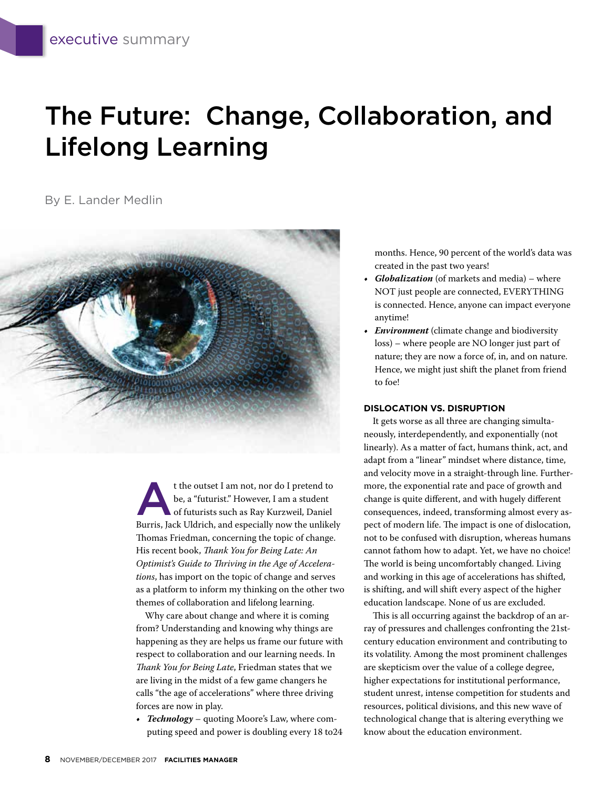# The Future: Change, Collaboration, and Lifelong Learning

By E. Lander Medlin



t the outset I am not, nor do I pretend to<br>be, a "futurist." However, I am a student<br>of futurists such as Ray Kurzweil, Daniel be, a "futurist." However, I am a student of futurists such as Ray Kurzweil, Daniel Burris, Jack Uldrich, and especially now the unlikely Thomas Friedman, concerning the topic of change. His recent book, *Thank You for Being Late: An Optimist's Guide to Thriving in the Age of Accelerations*, has import on the topic of change and serves as a platform to inform my thinking on the other two themes of collaboration and lifelong learning.

Why care about change and where it is coming from? Understanding and knowing why things are happening as they are helps us frame our future with respect to collaboration and our learning needs. In *Thank You for Being Late*, Friedman states that we are living in the midst of a few game changers he calls "the age of accelerations" where three driving forces are now in play.

*• Technology* – quoting Moore's Law, where computing speed and power is doubling every 18 to24 months. Hence, 90 percent of the world's data was created in the past two years!

- *• Globalization* (of markets and media) where NOT just people are connected, EVERYTHING is connected. Hence, anyone can impact everyone anytime!
- *• Environment* (climate change and biodiversity loss) – where people are NO longer just part of nature; they are now a force of, in, and on nature. Hence, we might just shift the planet from friend to foe!

#### **DISLOCATION VS. DISRUPTION**

It gets worse as all three are changing simultaneously, interdependently, and exponentially (not linearly). As a matter of fact, humans think, act, and adapt from a "linear" mindset where distance, time, and velocity move in a straight-through line. Furthermore, the exponential rate and pace of growth and change is quite different, and with hugely different consequences, indeed, transforming almost every aspect of modern life. The impact is one of dislocation, not to be confused with disruption, whereas humans cannot fathom how to adapt. Yet, we have no choice! The world is being uncomfortably changed. Living and working in this age of accelerations has shifted, is shifting, and will shift every aspect of the higher education landscape. None of us are excluded.

This is all occurring against the backdrop of an array of pressures and challenges confronting the 21stcentury education environment and contributing to its volatility. Among the most prominent challenges are skepticism over the value of a college degree, higher expectations for institutional performance, student unrest, intense competition for students and resources, political divisions, and this new wave of technological change that is altering everything we know about the education environment.